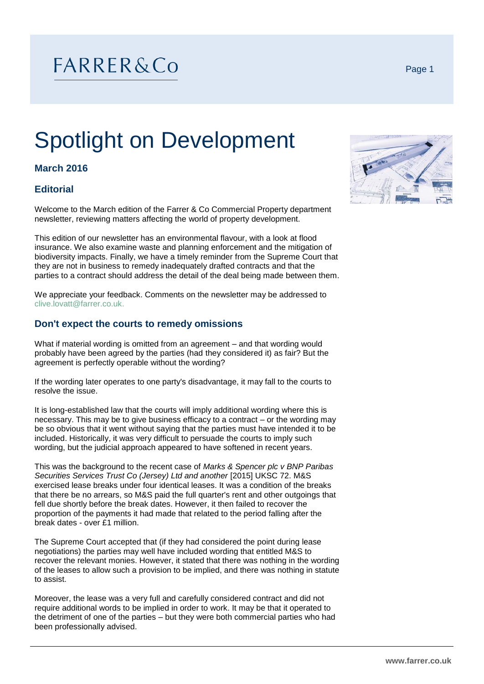# FARRER&Co

# Spotlight on Development

# **March 2016**

# **Editorial**

Welcome to the March edition of the Farrer & Co Commercial Property department newsletter, reviewing matters affecting the world of property development.

This edition of our newsletter has an environmental flavour, with a look at flood insurance. We also examine waste and planning enforcement and the mitigation of biodiversity impacts. Finally, we have a timely reminder from the Supreme Court that they are not in business to remedy inadequately drafted contracts and that the parties to a contract should address the detail of the deal being made between them.

We appreciate your feedback. Comments on the newsletter may be addressed to [clive.lovatt@farrer.co.uk.](mailto:clive.lovatt@farrer.co.uk)

## **Don't expect the courts to remedy omissions**

What if material wording is omitted from an agreement – and that wording would probably have been agreed by the parties (had they considered it) as fair? But the agreement is perfectly operable without the wording?

If the wording later operates to one party's disadvantage, it may fall to the courts to resolve the issue.

It is long-established law that the courts will imply additional wording where this is necessary. This may be to give business efficacy to a contract – or the wording may be so obvious that it went without saying that the parties must have intended it to be included. Historically, it was very difficult to persuade the courts to imply such wording, but the judicial approach appeared to have softened in recent years.

This was the background to the recent case of *Marks & Spencer plc v BNP Paribas Securities Services Trust Co (Jersey) Ltd and another* [2015] UKSC 72. M&S exercised lease breaks under four identical leases. It was a condition of the breaks that there be no arrears, so M&S paid the full quarter's rent and other outgoings that fell due shortly before the break dates. However, it then failed to recover the proportion of the payments it had made that related to the period falling after the break dates - over £1 million.

The Supreme Court accepted that (if they had considered the point during lease negotiations) the parties may well have included wording that entitled M&S to recover the relevant monies. However, it stated that there was nothing in the wording of the leases to allow such a provision to be implied, and there was nothing in statute to assist.

Moreover, the lease was a very full and carefully considered contract and did not require additional words to be implied in order to work. It may be that it operated to the detriment of one of the parties – but they were both commercial parties who had been professionally advised.

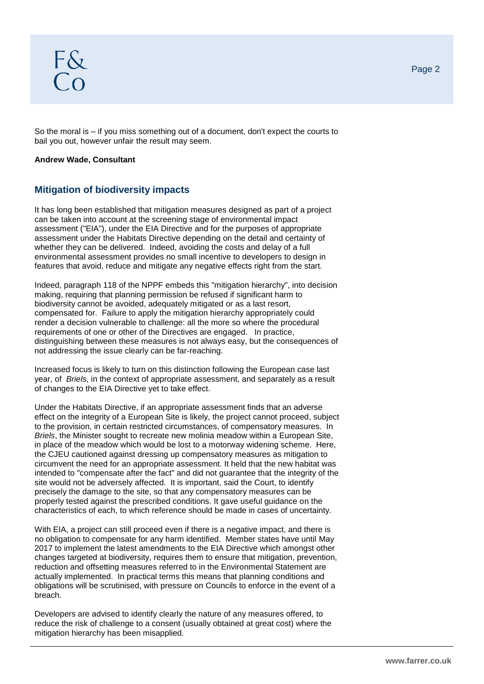So the moral is – if you miss something out of a document, don't expect the courts to bail you out, however unfair the result may seem.

#### **Andrew Wade, Consultant**

# **Mitigation of biodiversity impacts**

It has long been established that mitigation measures designed as part of a project can be taken into account at the screening stage of environmental impact assessment ("EIA"), under the EIA Directive and for the purposes of appropriate assessment under the Habitats Directive depending on the detail and certainty of whether they can be delivered. Indeed, avoiding the costs and delay of a full environmental assessment provides no small incentive to developers to design in features that avoid, reduce and mitigate any negative effects right from the start.

Indeed, paragraph 118 of the NPPF embeds this "mitigation hierarchy", into decision making, requiring that planning permission be refused if significant harm to biodiversity cannot be avoided, adequately mitigated or as a last resort, compensated for. Failure to apply the mitigation hierarchy appropriately could render a decision vulnerable to challenge: all the more so where the procedural requirements of one or other of the Directives are engaged. In practice, distinguishing between these measures is not always easy, but the consequences of not addressing the issue clearly can be far-reaching.

Increased focus is likely to turn on this distinction following the European case last year, of *Briels,* in the context of appropriate assessment, and separately as a result of changes to the EIA Directive yet to take effect.

Under the Habitats Directive, if an appropriate assessment finds that an adverse effect on the integrity of a European Site is likely, the project cannot proceed, subject to the provision, in certain restricted circumstances, of compensatory measures. In *Briels*, the Minister sought to recreate new molinia meadow within a European Site, in place of the meadow which would be lost to a motorway widening scheme. Here, the CJEU cautioned against dressing up compensatory measures as mitigation to circumvent the need for an appropriate assessment. It held that the new habitat was intended to "compensate after the fact" and did not guarantee that the integrity of the site would not be adversely affected. It is important, said the Court, to identify precisely the damage to the site, so that any compensatory measures can be properly tested against the prescribed conditions. It gave useful guidance on the characteristics of each, to which reference should be made in cases of uncertainty.

With EIA, a project can still proceed even if there is a negative impact, and there is no obligation to compensate for any harm identified. Member states have until May 2017 to implement the latest amendments to the EIA Directive which amongst other changes targeted at biodiversity, requires them to ensure that mitigation, prevention, reduction and offsetting measures referred to in the Environmental Statement are actually implemented. In practical terms this means that planning conditions and obligations will be scrutinised, with pressure on Councils to enforce in the event of a breach.

Developers are advised to identify clearly the nature of any measures offered, to reduce the risk of challenge to a consent (usually obtained at great cost) where the mitigation hierarchy has been misapplied.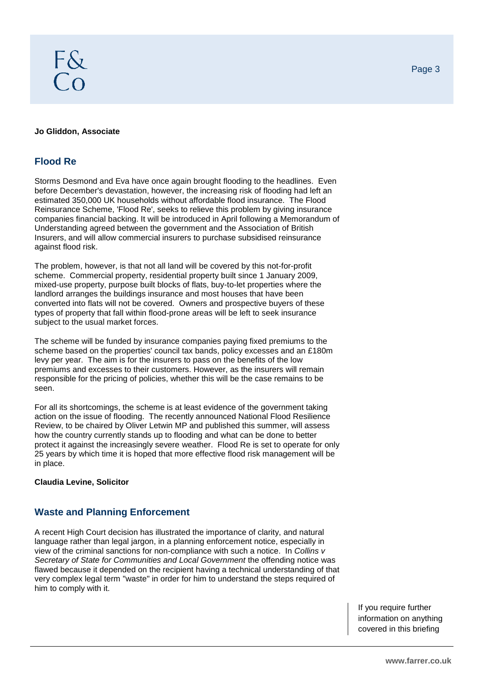#### **Jo Gliddon, Associate**

## **Flood Re**

Storms Desmond and Eva have once again brought flooding to the headlines. Even before December's devastation, however, the increasing risk of flooding had left an estimated 350,000 UK households without affordable flood insurance. The Flood Reinsurance Scheme, 'Flood Re', seeks to relieve this problem by giving insurance companies financial backing. It will be introduced in April following a Memorandum of Understanding agreed between the government and the Association of British Insurers, and will allow commercial insurers to purchase subsidised reinsurance against flood risk.

The problem, however, is that not all land will be covered by this not-for-profit scheme. Commercial property, residential property built since 1 January 2009, mixed-use property, purpose built blocks of flats, buy-to-let properties where the landlord arranges the buildings insurance and most houses that have been converted into flats will not be covered. Owners and prospective buyers of these types of property that fall within flood-prone areas will be left to seek insurance subject to the usual market forces.

The scheme will be funded by insurance companies paying fixed premiums to the scheme based on the properties' council tax bands, policy excesses and an £180m levy per year. The aim is for the insurers to pass on the benefits of the low premiums and excesses to their customers. However, as the insurers will remain responsible for the pricing of policies, whether this will be the case remains to be seen.

For all its shortcomings, the scheme is at least evidence of the government taking action on the issue of flooding. The recently announced National Flood Resilience Review, to be chaired by Oliver Letwin MP and published this summer, will assess how the country currently stands up to flooding and what can be done to better protect it against the increasingly severe weather. Flood Re is set to operate for only 25 years by which time it is hoped that more effective flood risk management will be in place.

#### **Claudia Levine, Solicitor**

## **Waste and Planning Enforcement**

A recent High Court decision has illustrated the importance of clarity, and natural language rather than legal jargon, in a planning enforcement notice, especially in view of the criminal sanctions for non-compliance with such a notice. In *Collins v Secretary of State for Communities and Local Government* the offending notice was flawed because it depended on the recipient having a technical understanding of that very complex legal term "waste" in order for him to understand the steps required of him to comply with it.

Page 3

If you require further information on anything covered in this briefing